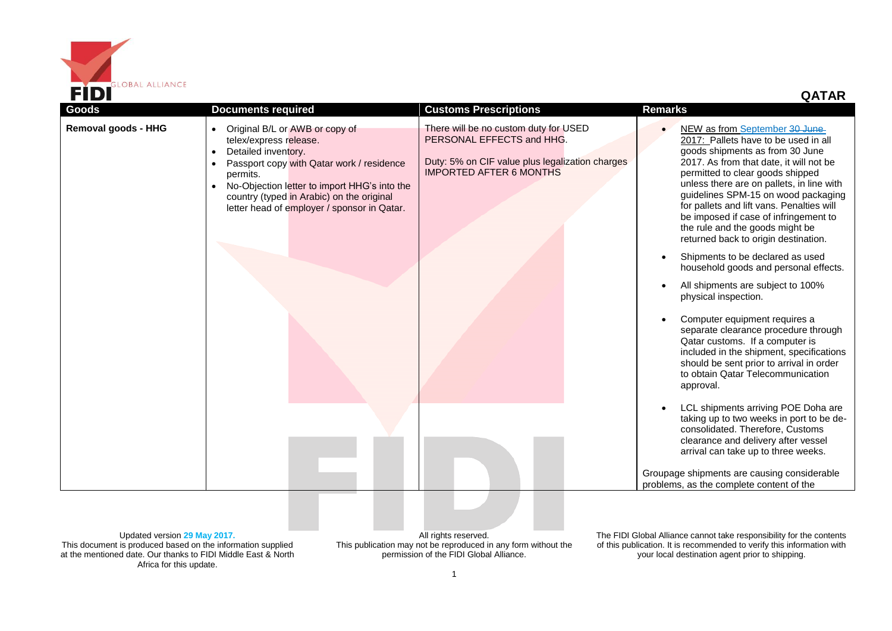

**QATAR** 

| Goods                      | <b>Documents required</b>                                                                                                                                                                                                                                                                                                                | <b>Customs Prescriptions</b>                                                                                                                            | <b>Remarks</b>                                                                                                                                                                                                                                                                                                                                                                                                                                |
|----------------------------|------------------------------------------------------------------------------------------------------------------------------------------------------------------------------------------------------------------------------------------------------------------------------------------------------------------------------------------|---------------------------------------------------------------------------------------------------------------------------------------------------------|-----------------------------------------------------------------------------------------------------------------------------------------------------------------------------------------------------------------------------------------------------------------------------------------------------------------------------------------------------------------------------------------------------------------------------------------------|
| <b>Removal goods - HHG</b> | Original B/L or AWB or copy of<br>$\bullet$<br>telex/express release.<br>Detailed inventory.<br>$\bullet$<br>Passport copy with Qatar work / residence<br>$\bullet$<br>permits.<br>No-Objection letter to import HHG's into the<br>$\bullet$<br>country (typed in Arabic) on the original<br>letter head of employer / sponsor in Qatar. | There will be no custom duty for USED<br>PERSONAL EFFECTS and HHG.<br>Duty: 5% on CIF value plus legalization charges<br><b>IMPORTED AFTER 6 MONTHS</b> | NEW as from September 30 June-<br>2017: Pallets have to be used in all<br>goods shipments as from 30 June<br>2017. As from that date, it will not be<br>permitted to clear goods shipped<br>unless there are on pallets, in line with<br>guidelines SPM-15 on wood packaging<br>for pallets and lift vans. Penalties will<br>be imposed if case of infringement to<br>the rule and the goods might be<br>returned back to origin destination. |
|                            |                                                                                                                                                                                                                                                                                                                                          |                                                                                                                                                         | Shipments to be declared as used<br>household goods and personal effects.                                                                                                                                                                                                                                                                                                                                                                     |
|                            |                                                                                                                                                                                                                                                                                                                                          |                                                                                                                                                         | All shipments are subject to 100%<br>physical inspection.                                                                                                                                                                                                                                                                                                                                                                                     |
|                            |                                                                                                                                                                                                                                                                                                                                          |                                                                                                                                                         | Computer equipment requires a<br>separate clearance procedure through<br>Qatar customs. If a computer is<br>included in the shipment, specifications<br>should be sent prior to arrival in order<br>to obtain Qatar Telecommunication<br>approval.                                                                                                                                                                                            |
|                            |                                                                                                                                                                                                                                                                                                                                          |                                                                                                                                                         | LCL shipments arriving POE Doha are<br>taking up to two weeks in port to be de-<br>consolidated. Therefore, Customs<br>clearance and delivery after vessel<br>arrival can take up to three weeks.                                                                                                                                                                                                                                             |
|                            |                                                                                                                                                                                                                                                                                                                                          |                                                                                                                                                         | Groupage shipments are causing considerable<br>problems, as the complete content of the                                                                                                                                                                                                                                                                                                                                                       |
|                            |                                                                                                                                                                                                                                                                                                                                          |                                                                                                                                                         |                                                                                                                                                                                                                                                                                                                                                                                                                                               |

Updated version **29 May 2017.** This document is produced based on the information supplied at the mentioned date. Our thanks to FIDI Middle East & North Africa for this update.

All rights reserved. This publication may not be reproduced in any form without the permission of the FIDI Global Alliance.

The FIDI Global Alliance cannot take responsibility for the contents of this publication. It is recommended to verify this information with your local destination agent prior to shipping.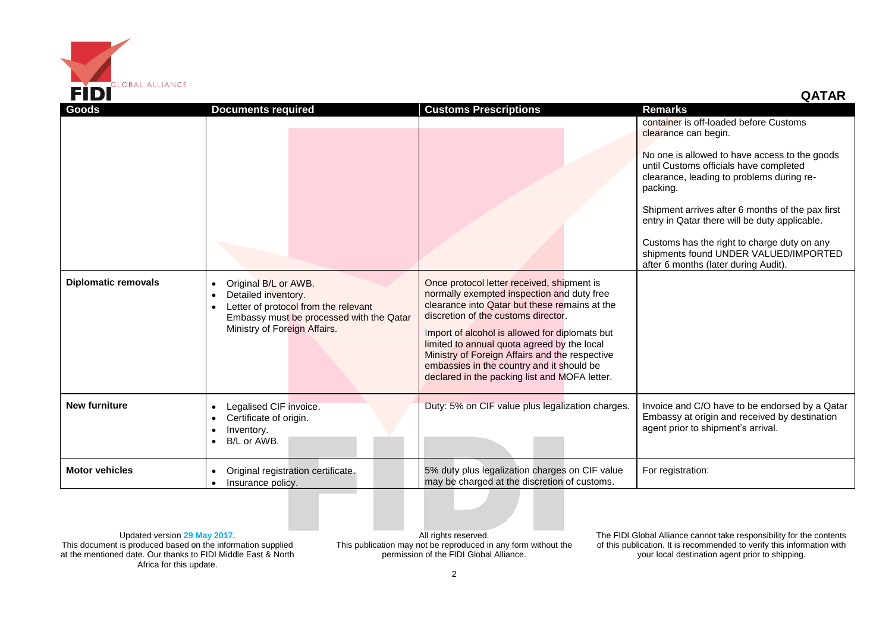

**QATAR** 

| <b>Goods</b><br><b>Diplomatic removals</b> | <b>Documents required</b><br>Original B/L or AWB.<br>$\bullet$<br>Detailed inventory.<br>$\bullet$<br>Letter of protocol from the relevant<br>Embassy must be processed with the Qatar<br>Ministry of Foreign Affairs. | <b>Customs Prescriptions</b><br>Once protocol letter received, shipment is<br>normally exempted inspection and duty free<br>clearance into Qatar but these remains at the<br>discretion of the customs director.<br>Import of alcohol is allowed for diplomats but<br>limited to annual quota agreed by the local<br>Ministry of Foreign Affairs and the respective<br>embassies in the country and it should be<br>declared in the packing list and MOFA letter. | <b>Remarks</b><br>container is off-loaded before Customs<br>clearance can begin.<br>No one is allowed to have access to the goods<br>until Customs officials have completed<br>clearance, leading to problems during re-<br>packing.<br>Shipment arrives after 6 months of the pax first<br>entry in Qatar there will be duty applicable.<br>Customs has the right to charge duty on any<br>shipments found UNDER VALUED/IMPORTED<br>after 6 months (later during Audit). |
|--------------------------------------------|------------------------------------------------------------------------------------------------------------------------------------------------------------------------------------------------------------------------|-------------------------------------------------------------------------------------------------------------------------------------------------------------------------------------------------------------------------------------------------------------------------------------------------------------------------------------------------------------------------------------------------------------------------------------------------------------------|---------------------------------------------------------------------------------------------------------------------------------------------------------------------------------------------------------------------------------------------------------------------------------------------------------------------------------------------------------------------------------------------------------------------------------------------------------------------------|
| <b>New furniture</b>                       | Legalised CIF invoice.<br>$\bullet$<br>Certificate of origin.<br>Inventory.<br>$\bullet$<br>B/L or AWB.                                                                                                                | Duty: 5% on CIF value plus legalization charges.                                                                                                                                                                                                                                                                                                                                                                                                                  | Invoice and C/O have to be endorsed by a Qatar<br>Embassy at origin and received by destination<br>agent prior to shipment's arrival.                                                                                                                                                                                                                                                                                                                                     |
| <b>Motor vehicles</b>                      | Original registration certificate.<br>Insurance policy.<br>$\bullet$                                                                                                                                                   | 5% duty plus legalization charges on CIF value<br>may be charged at the discretion of customs.                                                                                                                                                                                                                                                                                                                                                                    | For registration:                                                                                                                                                                                                                                                                                                                                                                                                                                                         |

Updated version **29 May 2017.** This document is produced based on the information supplied at the mentioned date. Our thanks to FIDI Middle East & North Africa for this update.

All rights reserved. This publication may not be reproduced in any form without the permission of the FIDI Global Alliance.

The FIDI Global Alliance cannot take responsibility for the contents of this publication. It is recommended to verify this information with your local destination agent prior to shipping.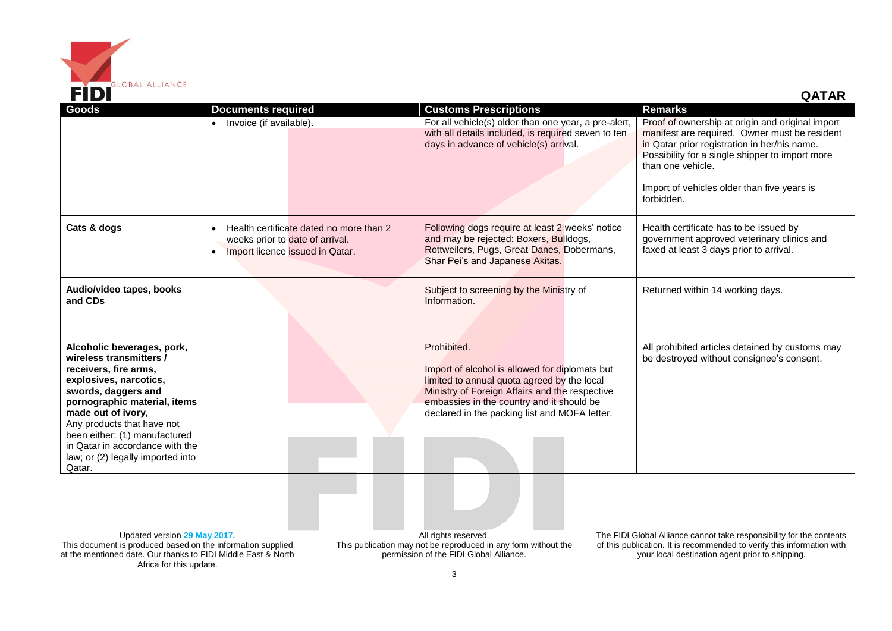

**QATAR** 

| <b>Goods</b>                                                                                                                                                                                                                                                                                                                           | <b>Documents required</b>                    |                                                                            | <b>Customs Prescriptions</b>                                                                                                                                                                                                                                 | <b>Remarks</b>                                                                                                                                                                                                            |
|----------------------------------------------------------------------------------------------------------------------------------------------------------------------------------------------------------------------------------------------------------------------------------------------------------------------------------------|----------------------------------------------|----------------------------------------------------------------------------|--------------------------------------------------------------------------------------------------------------------------------------------------------------------------------------------------------------------------------------------------------------|---------------------------------------------------------------------------------------------------------------------------------------------------------------------------------------------------------------------------|
|                                                                                                                                                                                                                                                                                                                                        | • Invoice (if available).                    |                                                                            | For all vehicle(s) older than one year, a pre-alert,<br>with all details included, is required seven to ten<br>days in advance of vehicle(s) arrival.                                                                                                        | Proof of ownership at origin and original import<br>manifest are required. Owner must be resident<br>in Qatar prior registration in her/his name.<br>Possibility for a single shipper to import more<br>than one vehicle. |
|                                                                                                                                                                                                                                                                                                                                        |                                              |                                                                            |                                                                                                                                                                                                                                                              | Import of vehicles older than five years is<br>forbidden.                                                                                                                                                                 |
| Cats & dogs                                                                                                                                                                                                                                                                                                                            | $\bullet$<br>weeks prior to date of arrival. | Health certificate dated no more than 2<br>Import licence issued in Qatar. | Following dogs require at least 2 weeks' notice<br>and may be rejected: Boxers, Bulldogs,<br>Rottweilers, Pugs, Great Danes, Dobermans,<br>Shar Pei's and Japanese Akitas.                                                                                   | Health certificate has to be issued by<br>government approved veterinary clinics and<br>faxed at least 3 days prior to arrival.                                                                                           |
| Audio/video tapes, books<br>and CDs                                                                                                                                                                                                                                                                                                    |                                              |                                                                            | Subject to screening by the Ministry of<br>Information.                                                                                                                                                                                                      | Returned within 14 working days.                                                                                                                                                                                          |
| Alcoholic beverages, pork,<br>wireless transmitters /<br>receivers, fire arms,<br>explosives, narcotics,<br>swords, daggers and<br>pornographic material, items<br>made out of ivory,<br>Any products that have not<br>been either: (1) manufactured<br>in Qatar in accordance with the<br>law; or (2) legally imported into<br>Qatar. |                                              |                                                                            | Prohibited.<br>Import of alcohol is allowed for diplomats but<br>limited to annual quota agreed by the local<br>Ministry of Foreign Affairs and the respective<br>embassies in the country and it should be<br>declared in the packing list and MOFA letter. | All prohibited articles detained by customs may<br>be destroyed without consignee's consent.                                                                                                                              |
| Updated version 29 May 2017.<br>This document is produced based on the information supplied<br>at the mentioned date. Our thanks to FIDI Middle East & North<br>Africa for this update.                                                                                                                                                |                                              |                                                                            | All rights reserved.<br>This publication may not be reproduced in any form without the<br>permission of the FIDI Global Alliance.                                                                                                                            | The FIDI Global Alliance cannot take responsibility for the contents<br>of this publication. It is recommended to verify this information with<br>your local destination agent prior to shipping.                         |